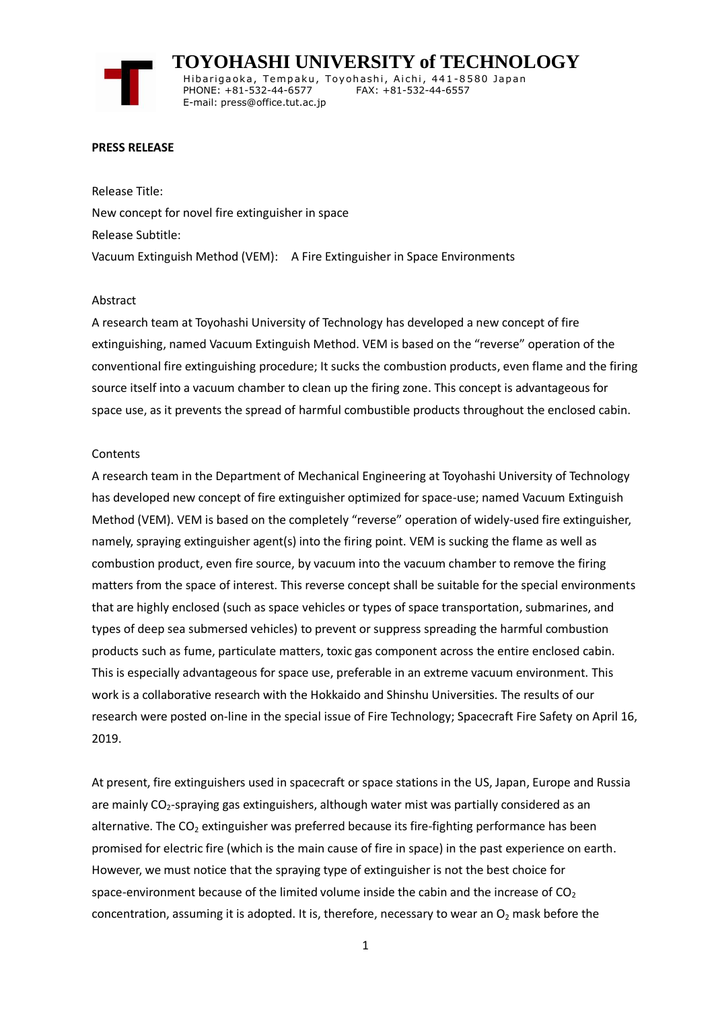# **TOYOHASHI UNIVERSITY of TECHNOLOGY**

Hibarigaoka, Tempaku, Toyohashi, Aichi, 441-8580 Japan PHONE: +81-532-44-6577 FAX: +81-532-44-6557 E-mail: press@office.tut.ac.jp

#### **PRESS RELEASE**

Release Title: New concept for novel fire extinguisher in space Release Subtitle: Vacuum Extinguish Method (VEM): A Fire Extinguisher in Space Environments

#### Abstract

A research team at Toyohashi University of Technology has developed a new concept of fire extinguishing, named Vacuum Extinguish Method. VEM is based on the "reverse" operation of the conventional fire extinguishing procedure; It sucks the combustion products, even flame and the firing source itself into a vacuum chamber to clean up the firing zone. This concept is advantageous for space use, as it prevents the spread of harmful combustible products throughout the enclosed cabin.

### **Contents**

A research team in the Department of Mechanical Engineering at Toyohashi University of Technology has developed new concept of fire extinguisher optimized for space-use; named Vacuum Extinguish Method (VEM). VEM is based on the completely "reverse" operation of widely-used fire extinguisher, namely, spraying extinguisher agent(s) into the firing point. VEM is sucking the flame as well as combustion product, even fire source, by vacuum into the vacuum chamber to remove the firing matters from the space of interest. This reverse concept shall be suitable for the special environments that are highly enclosed (such as space vehicles or types of space transportation, submarines, and types of deep sea submersed vehicles) to prevent or suppress spreading the harmful combustion products such as fume, particulate matters, toxic gas component across the entire enclosed cabin. This is especially advantageous for space use, preferable in an extreme vacuum environment. This work is a collaborative research with the Hokkaido and Shinshu Universities. The results of our research were posted on-line in the special issue of Fire Technology; Spacecraft Fire Safety on April 16, 2019.

At present, fire extinguishers used in spacecraft or space stations in the US, Japan, Europe and Russia are mainly CO<sub>2</sub>-spraying gas extinguishers, although water mist was partially considered as an alternative. The  $CO<sub>2</sub>$  extinguisher was preferred because its fire-fighting performance has been promised for electric fire (which is the main cause of fire in space) in the past experience on earth. However, we must notice that the spraying type of extinguisher is not the best choice for space-environment because of the limited volume inside the cabin and the increase of  $CO<sub>2</sub>$ concentration, assuming it is adopted. It is, therefore, necessary to wear an  $O<sub>2</sub>$  mask before the

1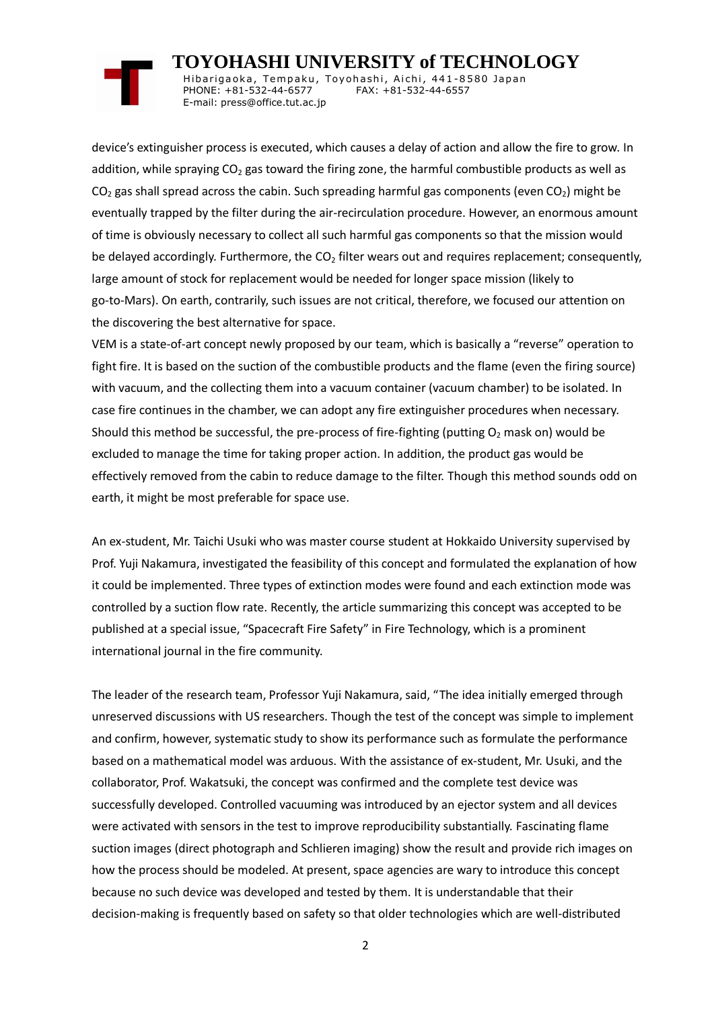## **TOYOHASHI UNIVERSITY of TECHNOLOGY**

Hibarigaoka, Tempaku, Toyohashi, Aichi, 441-8580 Japan PHONE: +81-532-44-6577 FAX: +81-532-44-6557 E-mail: press@office.tut.ac.jp

device's extinguisher process is executed, which causes a delay of action and allow the fire to grow. In addition, while spraying  $CO<sub>2</sub>$  gas toward the firing zone, the harmful combustible products as well as  $CO<sub>2</sub>$  gas shall spread across the cabin. Such spreading harmful gas components (even  $CO<sub>2</sub>$ ) might be eventually trapped by the filter during the air-recirculation procedure. However, an enormous amount of time is obviously necessary to collect all such harmful gas components so that the mission would be delayed accordingly. Furthermore, the  $CO<sub>2</sub>$  filter wears out and requires replacement; consequently, large amount of stock for replacement would be needed for longer space mission (likely to go-to-Mars). On earth, contrarily, such issues are not critical, therefore, we focused our attention on the discovering the best alternative for space.

VEM is a state-of-art concept newly proposed by our team, which is basically a "reverse" operation to fight fire. It is based on the suction of the combustible products and the flame (even the firing source) with vacuum, and the collecting them into a vacuum container (vacuum chamber) to be isolated. In case fire continues in the chamber, we can adopt any fire extinguisher procedures when necessary. Should this method be successful, the pre-process of fire-fighting (putting  $O<sub>2</sub>$  mask on) would be excluded to manage the time for taking proper action. In addition, the product gas would be effectively removed from the cabin to reduce damage to the filter. Though this method sounds odd on earth, it might be most preferable for space use.

An ex-student, Mr. Taichi Usuki who was master course student at Hokkaido University supervised by Prof. Yuji Nakamura, investigated the feasibility of this concept and formulated the explanation of how it could be implemented. Three types of extinction modes were found and each extinction mode was controlled by a suction flow rate. Recently, the article summarizing this concept was accepted to be published at a special issue, "Spacecraft Fire Safety" in Fire Technology, which is a prominent international journal in the fire community.

The leader of the research team, Professor Yuji Nakamura, said, "The idea initially emerged through unreserved discussions with US researchers. Though the test of the concept was simple to implement and confirm, however, systematic study to show its performance such as formulate the performance based on a mathematical model was arduous. With the assistance of ex-student, Mr. Usuki, and the collaborator, Prof. Wakatsuki, the concept was confirmed and the complete test device was successfully developed. Controlled vacuuming was introduced by an ejector system and all devices were activated with sensors in the test to improve reproducibility substantially. Fascinating flame suction images (direct photograph and Schlieren imaging) show the result and provide rich images on how the process should be modeled. At present, space agencies are wary to introduce this concept because no such device was developed and tested by them. It is understandable that their decision-making is frequently based on safety so that older technologies which are well-distributed

2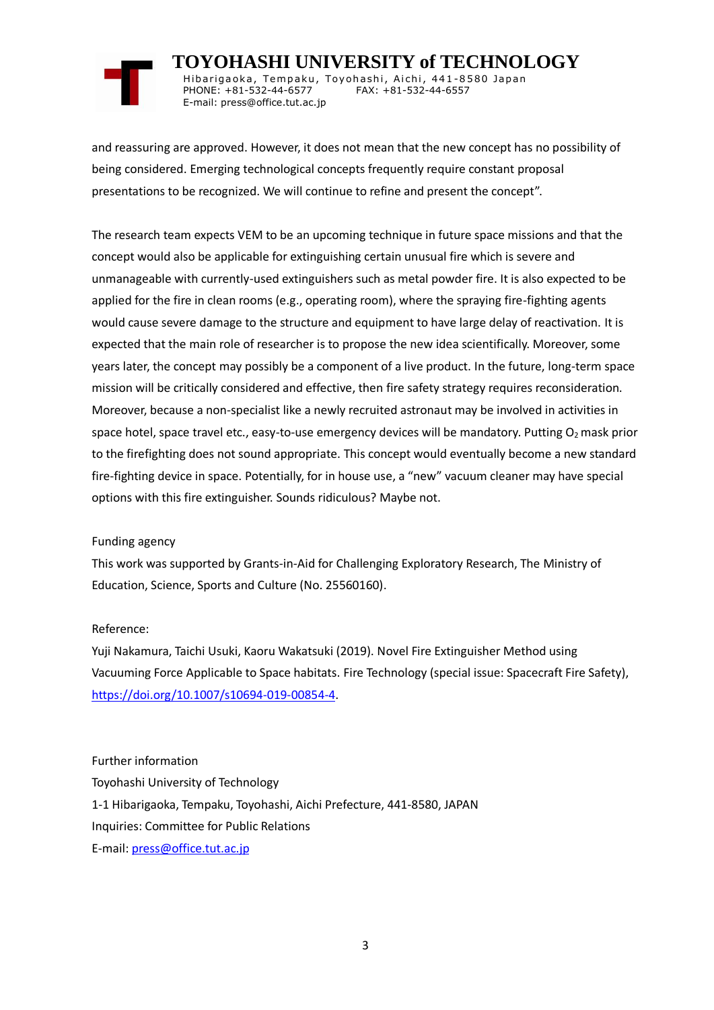

 **TOYOHASHI UNIVERSITY of TECHNOLOGY** Hibarigaoka, Tempaku, Toyohashi, Aichi, 441-8580 Japan

PHONE: +81-532-44-6577 FAX: +81-532-44-6557 E-mail: press@office.tut.ac.jp

and reassuring are approved. However, it does not mean that the new concept has no possibility of being considered. Emerging technological concepts frequently require constant proposal presentations to be recognized. We will continue to refine and present the concept".

The research team expects VEM to be an upcoming technique in future space missions and that the concept would also be applicable for extinguishing certain unusual fire which is severe and unmanageable with currently-used extinguishers such as metal powder fire. It is also expected to be applied for the fire in clean rooms (e.g., operating room), where the spraying fire-fighting agents would cause severe damage to the structure and equipment to have large delay of reactivation. It is expected that the main role of researcher is to propose the new idea scientifically. Moreover, some years later, the concept may possibly be a component of a live product. In the future, long-term space mission will be critically considered and effective, then fire safety strategy requires reconsideration. Moreover, because a non-specialist like a newly recruited astronaut may be involved in activities in space hotel, space travel etc., easy-to-use emergency devices will be mandatory. Putting O<sub>2</sub> mask prior to the firefighting does not sound appropriate. This concept would eventually become a new standard fire-fighting device in space. Potentially, for in house use, a "new" vacuum cleaner may have special options with this fire extinguisher. Sounds ridiculous? Maybe not.

### Funding agency

This work was supported by Grants-in-Aid for Challenging Exploratory Research, The Ministry of Education, Science, Sports and Culture (No. 25560160).

### Reference:

Yuji Nakamura, Taichi Usuki, Kaoru Wakatsuki (2019). Novel Fire Extinguisher Method using Vacuuming Force Applicable to Space habitats. Fire Technology (special issue: Spacecraft Fire Safety), [https://doi.org/10.1007/s10694-019-00854-4.](https://doi.org/10.1007/s10694-019-00854-4)

## Further information Toyohashi University of Technology 1-1 Hibarigaoka, Tempaku, Toyohashi, Aichi Prefecture, 441-8580, JAPAN Inquiries: Committee for Public Relations E-mail: [press@office.tut.ac.jp](mailto:press@office.tut.ac.jp)